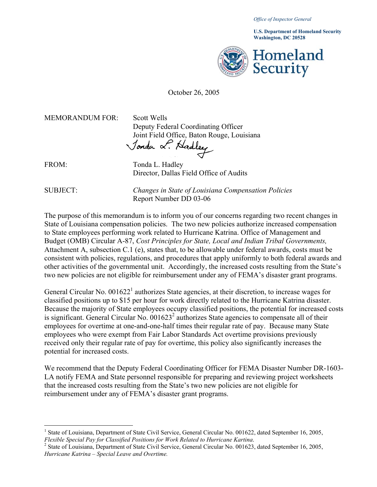*Office of Inspector General* 

**Washington, DC 20528 U.S. Department of Homeland Security** 



## October 26, 2005

MEMORANDUM FOR: Scott Wells

Deputy Federal Coordinating Officer Joint Field Office, Baton Rouge, Louisiana<br>Jonda & Hadley

FROM: Tonda L. Hadley Director, Dallas Field Office of Audits

 $\overline{a}$ 

SUBJECT: *Changes in State of Louisiana Compensation Policies* Report Number DD 03-06

The purpose of this memorandum is to inform you of our concerns regarding two recent changes in State of Louisiana compensation policies. The two new policies authorize increased compensation to State employees performing work related to Hurricane Katrina. Office of Management and Budget (OMB) Circular A-87, *Cost Principles for State, Local and Indian Tribal Governments,*  Attachment A, subsection C.1 (e), states that, to be allowable under federal awards, costs must be consistent with policies, regulations, and procedures that apply uniformly to both federal awards and other activities of the governmental unit. Accordingly, the increased costs resulting from the State's two new policies are not eligible for reimbursement under any of FEMA's disaster grant programs.

General Circular No.  $0.01622<sup>1</sup>$  $0.01622<sup>1</sup>$  $0.01622<sup>1</sup>$  authorizes State agencies, at their discretion, to increase wages for classified positions up to \$15 per hour for work directly related to the Hurricane Katrina disaster. Because the majority of State employees occupy classified positions, the potential for increased costs is significant. General Circular No.  $0.01623<sup>2</sup>$  $0.01623<sup>2</sup>$  $0.01623<sup>2</sup>$  authorizes State agencies to compensate all of their employees for overtime at one-and-one-half times their regular rate of pay. Because many State employees who were exempt from Fair Labor Standards Act overtime provisions previously received only their regular rate of pay for overtime, this policy also significantly increases the potential for increased costs.

We recommend that the Deputy Federal Coordinating Officer for FEMA Disaster Number DR-1603- LA notify FEMA and State personnel responsible for preparing and reviewing project worksheets that the increased costs resulting from the State's two new policies are not eligible for reimbursement under any of FEMA's disaster grant programs.

<span id="page-0-0"></span><sup>&</sup>lt;sup>1</sup> State of Louisiana, Department of State Civil Service, General Circular No. 001622, dated September 16, 2005, *Flexible Special Pay for Classified Positions for Work Related to Hurricane Kartina*. 2

<span id="page-0-1"></span><sup>&</sup>lt;sup>2</sup> State of Louisiana, Department of State Civil Service, General Circular No. 001623, dated September 16, 2005, *Hurricane Katrina – Special Leave and Overtime.*